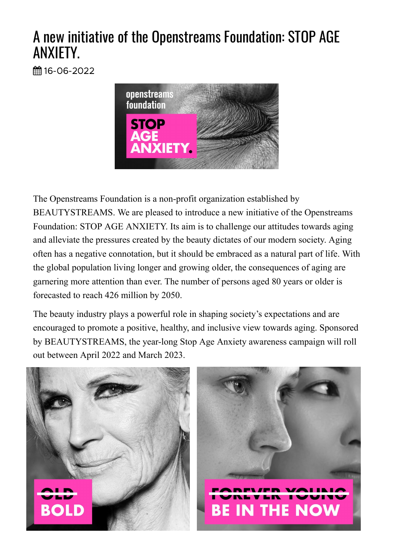## A new initiative of the Openstreams Foundation: STOP AGE ANXIETY.

曲16-06-2022



The Openstreams Foundation is a non-profit organization established by BEAUTYSTREAMS. We are pleased to introduce a new initiative of the Openstreams Foundation: STOP AGE ANXIETY. Its aim is to challenge our attitudes towards aging and alleviate the pressures created by the beauty dictates of our modern society. Aging often has a negative connotation, but it should be embraced as a natural part of life. With the global population living longer and growing older, the consequences of aging are garnering more attention than ever. The number of persons aged 80 years or older is forecasted to reach 426 million by 2050.

The beauty industry plays a powerful role in shaping society's expectations and are encouraged to promote a positive, healthy, and inclusive view towards aging. Sponsored by BEAUTYSTREAMS, the year-long Stop Age Anxiety awareness campaign will roll out between April 2022 and March 2023.